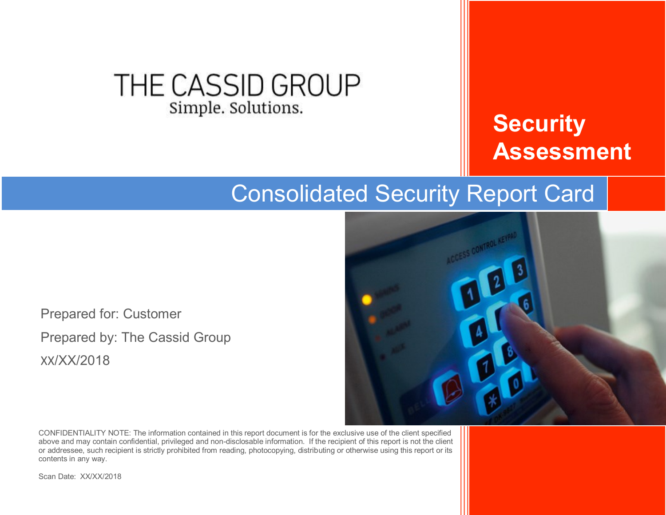### THE CASSID GROUP Simple. Solutions.

# **Security Assessment**

## Consolidated Security Report Card

Prepared for: Customer Prepared by: The Cassid Group XX/XX/2018



CONFIDENTIALITY NOTE: The information contained in this report document is for the exclusive use of the client specified above and may contain confidential, privileged and non-disclosable information. If the recipient of this report is not the client or addressee, such recipient is strictly prohibited from reading, photocopying, distributing or otherwise using this report or its contents in any way.

Scan Date: XX/XX/2018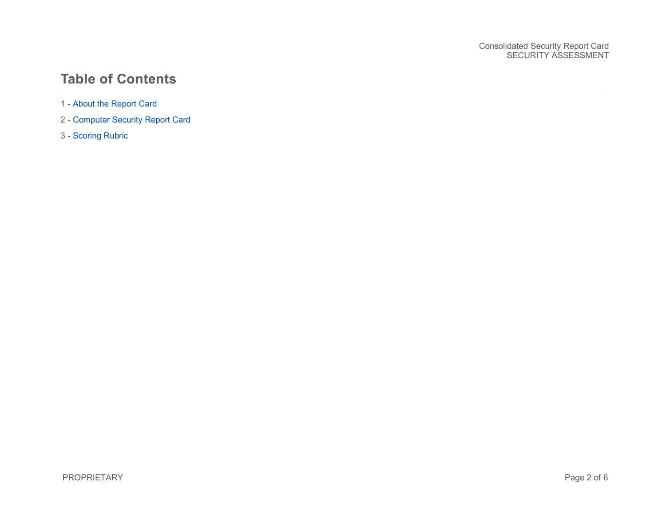#### **Table of Contents**

- 1 [About the Report Card](#page-2-0)
- 2 [Computer Security Report Card](#page-3-0)
- 3 [Scoring Rubric](#page-5-0)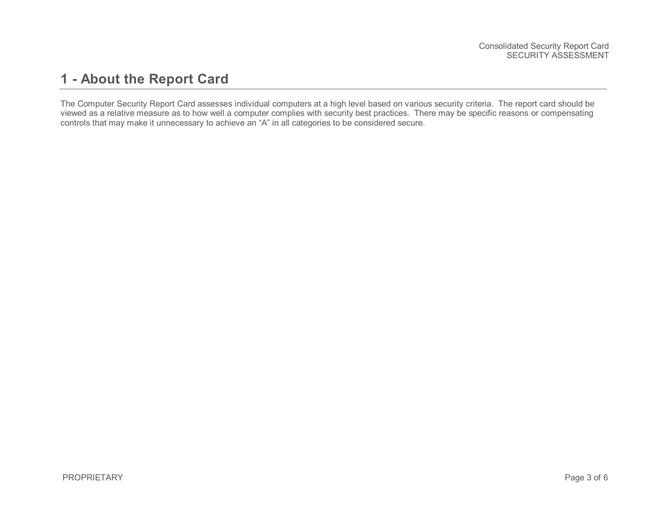#### <span id="page-2-0"></span>**1 - About the Report Card**

The Computer Security Report Card assesses individual computers at a high level based on various security criteria. The report card should be viewed as a relative measure as to how well a computer complies with security best practices. There may be specific reasons or compensating controls that may make it unnecessary to achieve an "A" in all categories to be considered secure.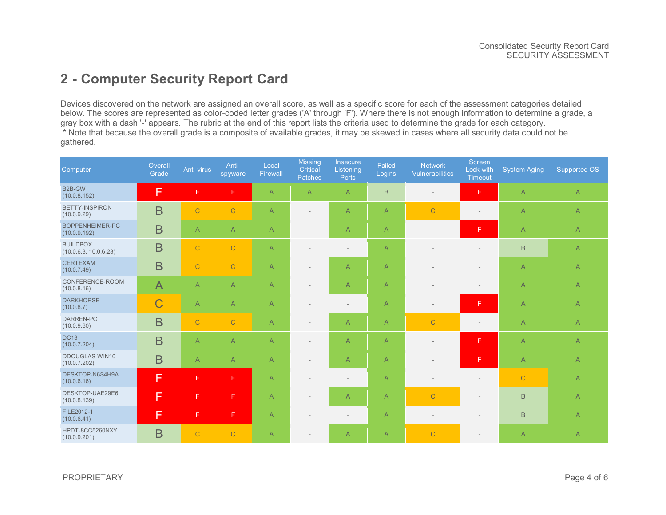#### <span id="page-3-0"></span>**2 - Computer Security Report Card**

Devices discovered on the network are assigned an overall score, as well as a specific score for each of the assessment categories detailed below. The scores are represented as color-coded letter grades ('A' through 'F'). Where there is not enough information to determine a grade, a gray box with a dash '-' appears. The rubric at the end of this report lists the criteria used to determine the grade for each category.

\* Note that because the overall grade is a composite of available grades, it may be skewed in cases where all security data could not be gathered.

| Computer                                 | Overall<br>Grade | Anti-virus     | Anti-<br>spyware | Local<br><b>Firewall</b> | <b>Missing</b><br>Critical<br>Patches | Insecure<br>Listening<br>Ports | Failed<br>Logins | <b>Network</b><br>Vulnerabilities | Screen<br>Lock with<br>Timeout | <b>System Aging</b> | <b>Supported OS</b> |
|------------------------------------------|------------------|----------------|------------------|--------------------------|---------------------------------------|--------------------------------|------------------|-----------------------------------|--------------------------------|---------------------|---------------------|
| B2B-GW<br>(10.0.8.152)                   | F                | F              | F                | $\overline{A}$           | A                                     | $\overline{A}$                 | $\mathsf B$      | $\overline{\phantom{a}}$          | F                              | $\overline{A}$      | $\overline{A}$      |
| <b>BETTY-INSPIRON</b><br>(10.0.9.29)     | $\overline{B}$   | $\mathbf C$    | $\mathsf{C}$     | $\overline{A}$           |                                       | $\overline{A}$                 | $\overline{A}$   | $\overline{C}$                    | $\overline{\phantom{a}}$       | $\overline{A}$      | $\mathsf{A}$        |
| BOPPENHEIMER-PC<br>(10.0.9.192)          | $\overline{B}$   | $\overline{A}$ | $\overline{A}$   | $\overline{A}$           |                                       | $\overline{A}$                 | $\overline{A}$   | $\overline{\phantom{0}}$          | F                              | $\overline{A}$      | $\mathsf{A}$        |
| <b>BUILDBOX</b><br>(10.0.6.3, 10.0.6.23) | B                | $\mathbf C$    | $\mathbf C$      | $\mathsf{A}$             |                                       |                                | $\mathsf{A}$     |                                   |                                | $\,$ B              | $\mathsf{A}$        |
| <b>CERTEXAM</b><br>(10.0.7.49)           | $\overline{B}$   | $\mathbf C$    | $\mathsf{C}$     | $\overline{A}$           |                                       | $\overline{A}$                 | $\overline{A}$   |                                   |                                | $\overline{A}$      | $\overline{A}$      |
| CONFERENCE-ROOM<br>(10.0.8.16)           | $\overline{A}$   | $\overline{A}$ | $\overline{A}$   | $\mathsf{A}$             |                                       | $\overline{A}$                 | $\overline{A}$   |                                   |                                | $\overline{A}$      | $\overline{A}$      |
| <b>DARKHORSE</b><br>(10.0.8.7)           | $\overline{C}$   | $\mathsf{A}$   | $\overline{A}$   | $\overline{A}$           |                                       |                                | $\overline{A}$   | $\overline{\phantom{a}}$          | F                              | $\overline{A}$      | $\overline{A}$      |
| DARREN-PC<br>(10.0.9.60)                 | $\overline{B}$   | $\mathbf C$    | $\overline{C}$   | $\overline{A}$           |                                       | $\overline{A}$                 | $\overline{A}$   | $\overline{C}$                    |                                | $\overline{A}$      | $\overline{A}$      |
| <b>DC13</b><br>(10.0.7.204)              | B                | $\overline{A}$ | $\overline{A}$   | $\mathsf{A}$             |                                       | $\overline{A}$                 | $\mathsf{A}$     | $\overline{\phantom{0}}$          | F                              | $\overline{A}$      | $\mathsf{A}$        |
| DDOUGLAS-WIN10<br>(10.0.7.202)           | B                | $\mathsf{A}$   | $\overline{A}$   | $\overline{A}$           |                                       | $\overline{A}$                 | $\overline{A}$   |                                   | F                              | $\overline{A}$      | $\overline{A}$      |
| DESKTOP-N6S4H9A<br>(10.0.6.16)           | F                | F              | F                | $\overline{A}$           |                                       |                                | $\overline{A}$   | $\overline{\phantom{0}}$          | $\overline{\phantom{m}}$       | $\mathbf C$         | $\mathsf{A}$        |
| DESKTOP-UAE29E6<br>(10.0.8.139)          | F                | F              | F                | $\overline{A}$           |                                       | $\overline{A}$                 | $\mathsf{A}$     | $\mathsf{C}$                      | $\overline{\phantom{a}}$       | $\,$ B              | $\overline{A}$      |
| FILE2012-1<br>(10.0.6.41)                | F                | F              | F                | $\overline{A}$           |                                       |                                | $\overline{A}$   |                                   |                                | $\,$ B              | $\overline{A}$      |
| HPDT-8CC5260NXY<br>(10.0.9.201)          | B                | $\mathsf{C}$   | $\mathsf{C}$     | $\overline{A}$           |                                       | $\overline{A}$                 | $\overline{A}$   | $\overline{C}$                    |                                | $\overline{A}$      | $\overline{A}$      |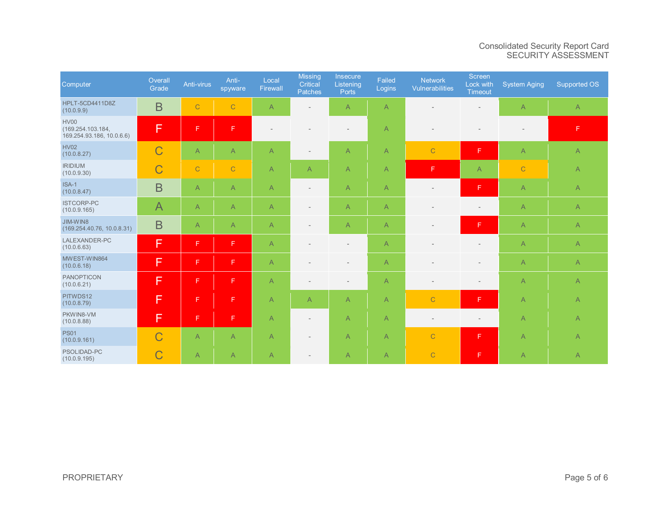#### Consolidated Security Report Card SECURITY ASSESSMENT

| Computer                                                      | Overall<br>Grade | Anti-virus     | Anti-<br>spyware | Local<br>Firewall                                                                                      | <b>Missing</b><br>Critical<br>Patches | <b>Insecure</b><br>Listening<br><b>Ports</b> | Failed<br>Logins | <b>Network</b><br><b>Vulnerabilities</b> | Screen<br>Lock with<br><b>Timeout</b> | System Aging             | Supported OS   |
|---------------------------------------------------------------|------------------|----------------|------------------|--------------------------------------------------------------------------------------------------------|---------------------------------------|----------------------------------------------|------------------|------------------------------------------|---------------------------------------|--------------------------|----------------|
| HPLT-5CD4411D8Z<br>(10.0.9.9)                                 | $\overline{B}$   | $\mathbf C$    | $\mathbf C$      | $\overline{A}$                                                                                         |                                       | A                                            | A                |                                          |                                       | $\overline{A}$           | $\mathsf{A}$   |
| <b>HV00</b><br>(169.254.103.184,<br>169.254.93.186, 10.0.6.6) | F                | F              | F                |                                                                                                        |                                       | $\overline{\phantom{0}}$                     | A                |                                          |                                       | $\overline{\phantom{a}}$ | F              |
| <b>HV02</b><br>(10.0.8.27)                                    | $\overline{C}$   | $\overline{A}$ | $\mathsf{A}$     | $\overline{A}$                                                                                         | $\overline{a}$                        | $\mathsf{A}$                                 | A                | $\mathbf C$                              | F.                                    | $\overline{A}$           | $\mathsf{A}$   |
| <b>IRIDIUM</b><br>(10.0.9.30)                                 | $\overline{C}$   | $\mathbf C$    | $\mathbf C$      | $\overline{A}$                                                                                         | $\overline{A}$                        | A                                            | A                | F                                        | $\overline{A}$                        | $\overline{C}$           | $\mathsf{A}$   |
| ISA-1<br>(10.0.8.47)                                          | $\overline{B}$   | $\mathsf{A}$   | A                | $\mathsf{A}$                                                                                           | $\qquad \qquad -$                     | $\mathsf{A}$                                 | A                | $\overline{\phantom{a}}$                 | F                                     | $\mathsf{A}$             | $\mathsf{A}$   |
| <b>ISTCORP-PC</b><br>(10.0.9.165)                             | $\overline{A}$   | $\overline{A}$ | $\overline{A}$   | $\mathsf{A}$                                                                                           | ٠                                     | A                                            | A                | $\overline{\phantom{a}}$                 | $\overline{\phantom{0}}$              | $\mathsf{A}$             | $\mathsf{A}$   |
| JIM-WIN8<br>(169.254.40.76, 10.0.8.31)                        | $\overline{B}$   | $\overline{A}$ | $\overline{A}$   | $\overline{A}$                                                                                         | ۰                                     | $\overline{A}$                               | A                | $\overline{\phantom{a}}$                 | F                                     | $\overline{A}$           | $\overline{A}$ |
| LALEXANDER-PC<br>(10.0.6.63)                                  | F                | F              | $\mathsf F$      | $\overline{A}$                                                                                         |                                       | $\overline{\phantom{0}}$                     | A                |                                          | $\overline{\phantom{0}}$              | $\overline{A}$           | $\mathsf{A}$   |
| MWEST-WIN864<br>(10.0.6.18)                                   | F                | F              | $\mathsf F$      | $\mathsf{A}% _{\mathsf{A}}^{\prime}=\mathsf{A}_{\mathsf{A}}^{\prime}=\mathsf{A}_{\mathsf{A}}^{\prime}$ |                                       | $\overline{\phantom{0}}$                     | A                |                                          | $\overline{\phantom{0}}$              | $\mathsf{A}$             | $\mathsf{A}$   |
| <b>PANOPTICON</b><br>(10.0.6.21)                              | F                | F              | F                | $\overline{A}$                                                                                         |                                       | $\overline{\phantom{a}}$                     | A                | $\overline{\phantom{0}}$                 | $\overline{\phantom{0}}$              | $\overline{A}$           | $\mathsf{A}$   |
| PITWDS12<br>(10.0.8.79)                                       | F                | F              | F                | $\overline{A}$                                                                                         | $\overline{A}$                        | $\overline{A}$                               | A                | $\overline{C}$                           | F.                                    | $\overline{A}$           | $\mathsf{A}$   |
| PKWIN8-VM<br>(10.0.8.88)                                      | F                | F              | $\mathsf F$      | $\overline{A}$                                                                                         | $\overline{\phantom{a}}$              | $\mathsf{A}$                                 | A                | $\overline{\phantom{a}}$                 | $\overline{\phantom{a}}$              | $\overline{A}$           | $\mathsf{A}$   |
| <b>PS01</b><br>(10.0.9.161)                                   | $\overline{C}$   | $\mathsf{A}$   | $\overline{A}$   | $\mathsf{A}% _{\mathsf{A}}^{\prime}=\mathsf{A}_{\mathsf{A}}^{\prime}=\mathsf{A}_{\mathsf{A}}^{\prime}$ | $\overline{\phantom{0}}$              | A                                            | A                | $\mathbf C$                              | F                                     | $\overline{A}$           | $\mathsf{A}$   |
| PSOLIDAD-PC<br>(10.0.9.195)                                   | $\overline{C}$   | $\overline{A}$ | $\mathsf{A}$     | $\overline{A}$                                                                                         | $\qquad \qquad -$                     | A                                            | A                | $\mathbf C$                              | F                                     | $\overline{A}$           | $\overline{A}$ |